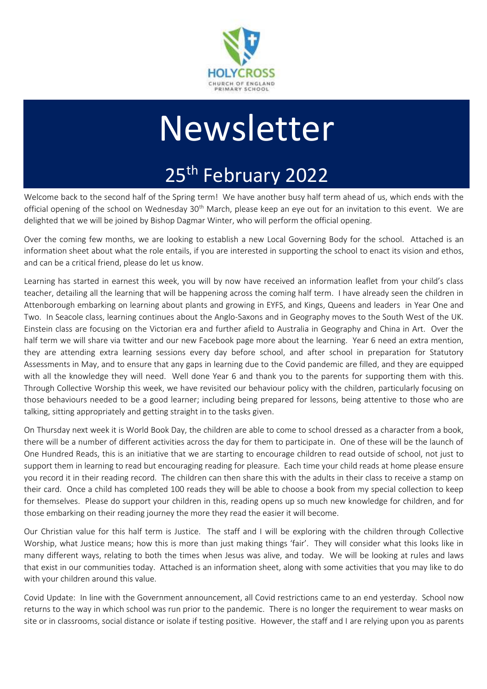

# Newsletter

# 25<sup>th</sup> February 2022

Welcome back to the second half of the Spring term! We have another busy half term ahead of us, which ends with the official opening of the school on Wednesday 30<sup>th</sup> March, please keep an eye out for an invitation to this event. We are delighted that we will be joined by Bishop Dagmar Winter, who will perform the official opening.

Over the coming few months, we are looking to establish a new Local Governing Body for the school. Attached is an information sheet about what the role entails, if you are interested in supporting the school to enact its vision and ethos, and can be a critical friend, please do let us know.

Learning has started in earnest this week, you will by now have received an information leaflet from your child's class teacher, detailing all the learning that will be happening across the coming half term. I have already seen the children in Attenborough embarking on learning about plants and growing in EYFS, and Kings, Queens and leaders in Year One and Two. In Seacole class, learning continues about the Anglo-Saxons and in Geography moves to the South West of the UK. Einstein class are focusing on the Victorian era and further afield to Australia in Geography and China in Art. Over the half term we will share via twitter and our new Facebook page more about the learning. Year 6 need an extra mention, they are attending extra learning sessions every day before school, and after school in preparation for Statutory Assessments in May, and to ensure that any gaps in learning due to the Covid pandemic are filled, and they are equipped with all the knowledge they will need. Well done Year 6 and thank you to the parents for supporting them with this. Through Collective Worship this week, we have revisited our behaviour policy with the children, particularly focusing on those behaviours needed to be a good learner; including being prepared for lessons, being attentive to those who are talking, sitting appropriately and getting straight in to the tasks given.

On Thursday next week it is World Book Day, the children are able to come to school dressed as a character from a book, there will be a number of different activities across the day for them to participate in. One of these will be the launch of One Hundred Reads, this is an initiative that we are starting to encourage children to read outside of school, not just to support them in learning to read but encouraging reading for pleasure. Each time your child reads at home please ensure you record it in their reading record. The children can then share this with the adults in their class to receive a stamp on their card. Once a child has completed 100 reads they will be able to choose a book from my special collection to keep for themselves. Please do support your children in this, reading opens up so much new knowledge for children, and for those embarking on their reading journey the more they read the easier it will become.

Our Christian value for this half term is Justice. The staff and I will be exploring with the children through Collective Worship, what Justice means; how this is more than just making things 'fair'. They will consider what this looks like in many different ways, relating to both the times when Jesus was alive, and today. We will be looking at rules and laws that exist in our communities today. Attached is an information sheet, along with some activities that you may like to do with your children around this value.

Covid Update: In line with the Government announcement, all Covid restrictions came to an end yesterday. School now returns to the way in which school was run prior to the pandemic. There is no longer the requirement to wear masks on site or in classrooms, social distance or isolate if testing positive. However, the staff and I are relying upon you as parents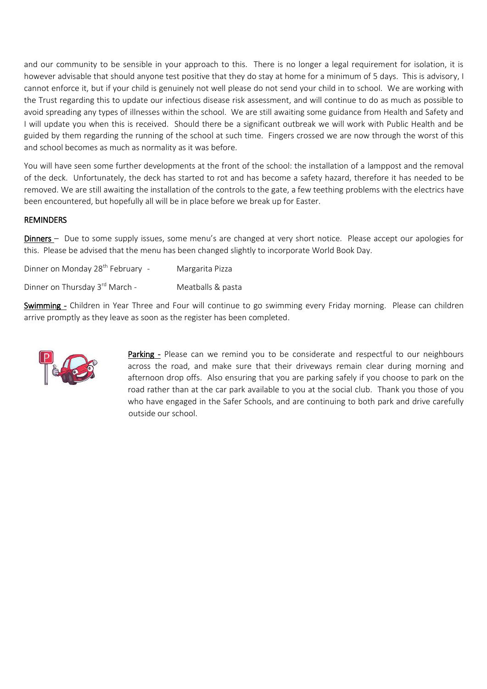and our community to be sensible in your approach to this. There is no longer a legal requirement for isolation, it is however advisable that should anyone test positive that they do stay at home for a minimum of 5 days. This is advisory, I cannot enforce it, but if your child is genuinely not well please do not send your child in to school. We are working with the Trust regarding this to update our infectious disease risk assessment, and will continue to do as much as possible to avoid spreading any types of illnesses within the school. We are still awaiting some guidance from Health and Safety and I will update you when this is received. Should there be a significant outbreak we will work with Public Health and be guided by them regarding the running of the school at such time. Fingers crossed we are now through the worst of this and school becomes as much as normality as it was before.

You will have seen some further developments at the front of the school: the installation of a lamppost and the removal of the deck. Unfortunately, the deck has started to rot and has become a safety hazard, therefore it has needed to be removed. We are still awaiting the installation of the controls to the gate, a few teething problems with the electrics have been encountered, but hopefully all will be in place before we break up for Easter.

#### REMINDERS

Dinners – Due to some supply issues, some menu's are changed at very short notice. Please accept our apologies for this. Please be advised that the menu has been changed slightly to incorporate World Book Day.

Dinner on Monday 28<sup>th</sup> February - Margarita Pizza Dinner on Thursday 3<sup>rd</sup> March - Meatballs & pasta

Swimming - Children in Year Three and Four will continue to go swimming every Friday morning. Please can children arrive promptly as they leave as soon as the register has been completed.



Parking - Please can we remind you to be considerate and respectful to our neighbours across the road, and make sure that their driveways remain clear during morning and afternoon drop offs. Also ensuring that you are parking safely if you choose to park on the road rather than at the car park available to you at the social club. Thank you those of you who have engaged in the Safer Schools, and are continuing to both park and drive carefully outside our school.